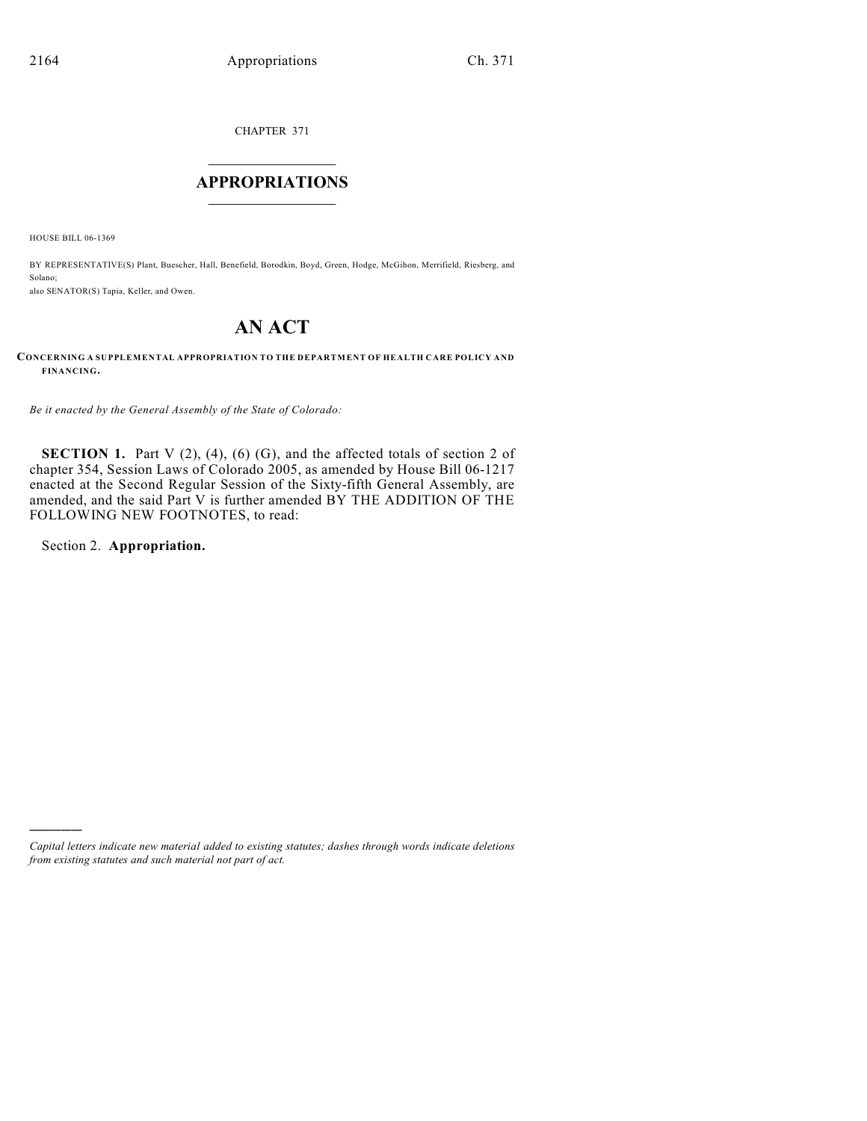CHAPTER 371

### $\overline{\phantom{a}}$  . The set of the set of the set of the set of the set of the set of the set of the set of the set of the set of the set of the set of the set of the set of the set of the set of the set of the set of the set o **APPROPRIATIONS**  $\_$   $\_$   $\_$   $\_$   $\_$   $\_$   $\_$   $\_$

HOUSE BILL 06-1369

BY REPRESENTATIVE(S) Plant, Buescher, Hall, Benefield, Borodkin, Boyd, Green, Hodge, McGihon, Merrifield, Riesberg, and Solano; also SENATOR(S) Tapia, Keller, and Owen.

# **AN ACT**

#### **CONCERNING A SUPPLEMENTAL APPROPRIATION TO THE DEPARTMENT OF HEALTH CARE POLICY AND FINANCING.**

*Be it enacted by the General Assembly of the State of Colorado:*

**SECTION 1.** Part V  $(2)$ ,  $(4)$ ,  $(6)$   $(G)$ , and the affected totals of section 2 of chapter 354, Session Laws of Colorado 2005, as amended by House Bill 06-1217 enacted at the Second Regular Session of the Sixty-fifth General Assembly, are amended, and the said Part V is further amended BY THE ADDITION OF THE FOLLOWING NEW FOOTNOTES, to read:

Section 2. **Appropriation.**

)))))

*Capital letters indicate new material added to existing statutes; dashes through words indicate deletions from existing statutes and such material not part of act.*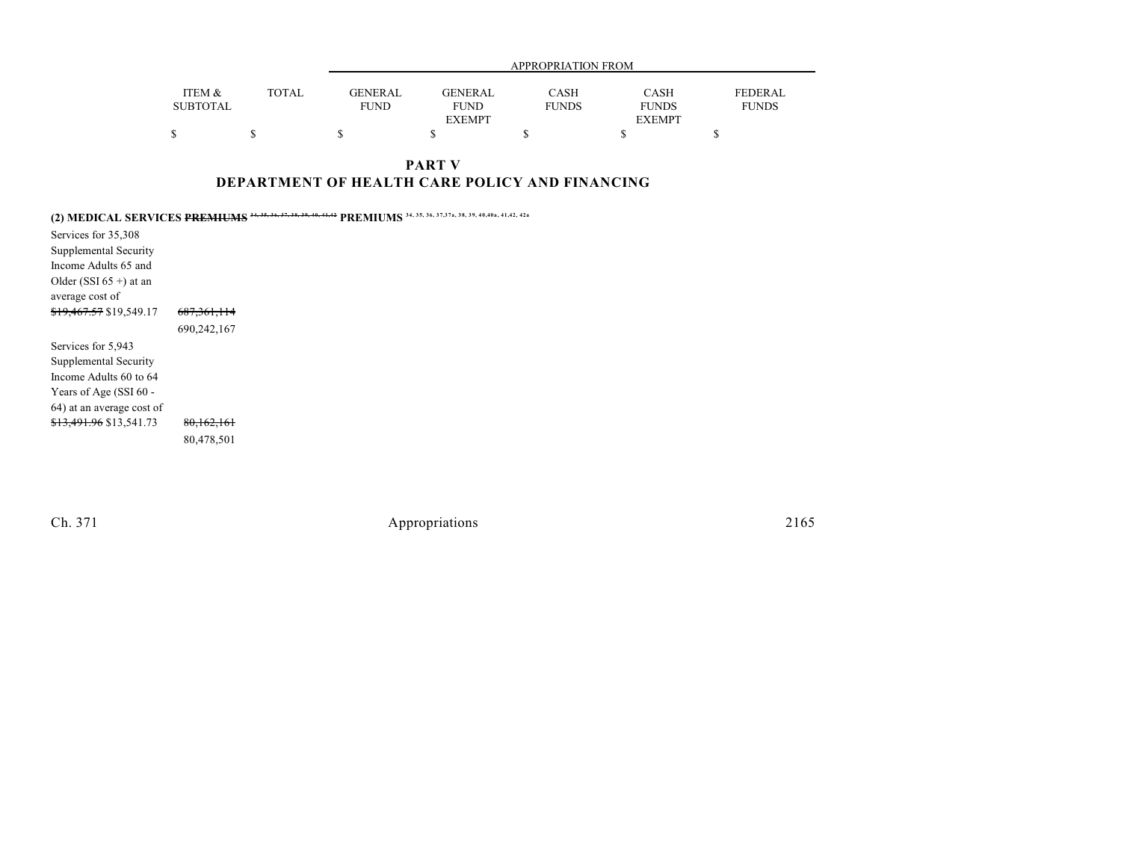|                           |              | APPROPRIATION FROM |                |                      |                             |                         |  |  |  |
|---------------------------|--------------|--------------------|----------------|----------------------|-----------------------------|-------------------------|--|--|--|
|                           |              | <b>GENERAL</b>     | <b>GENERAL</b> |                      |                             |                         |  |  |  |
| ITEM &<br><b>SUBTOTAL</b> | <b>TOTAL</b> | <b>FUND</b>        | <b>FUND</b>    | CASH<br><b>FUNDS</b> | <b>CASH</b><br><b>FUNDS</b> | FEDERAL<br><b>FUNDS</b> |  |  |  |
|                           |              |                    | <b>EXEMPT</b>  |                      | <b>EXEMPT</b>               |                         |  |  |  |
|                           |              |                    |                |                      |                             |                         |  |  |  |

### **PART V DEPARTMENT OF HEALTH CARE POLICY AND FINANCING**

|                                    | 34, 35, 36, 37, 37a, 38, 39, 40, 40a, 41, 42, 42a<br>(2) MEDICAL SERVICES PREMIUMS 34, 35, 36, 37, 38, 39, 40,<br><b>PREMIUMS</b> |
|------------------------------------|-----------------------------------------------------------------------------------------------------------------------------------|
| Services for 35,308                |                                                                                                                                   |
| Supplemental Security              |                                                                                                                                   |
| Income Adults 65 and               |                                                                                                                                   |
| Older (SSI $65 +$ ) at an          |                                                                                                                                   |
| average cost of                    |                                                                                                                                   |
| <del>\$19,467.57</del> \$19,549.17 | <del>687,361,114</del>                                                                                                            |
|                                    | 690,242,167                                                                                                                       |
| Services for 5,943                 |                                                                                                                                   |
| Supplemental Security              |                                                                                                                                   |
| Income Adults 60 to 64             |                                                                                                                                   |
| Years of Age (SSI 60 -             |                                                                                                                                   |
| 64) at an average cost of          |                                                                                                                                   |
| <del>\$13,491.96</del> \$13,541.73 | 80,162,161                                                                                                                        |
|                                    | 80,478,501                                                                                                                        |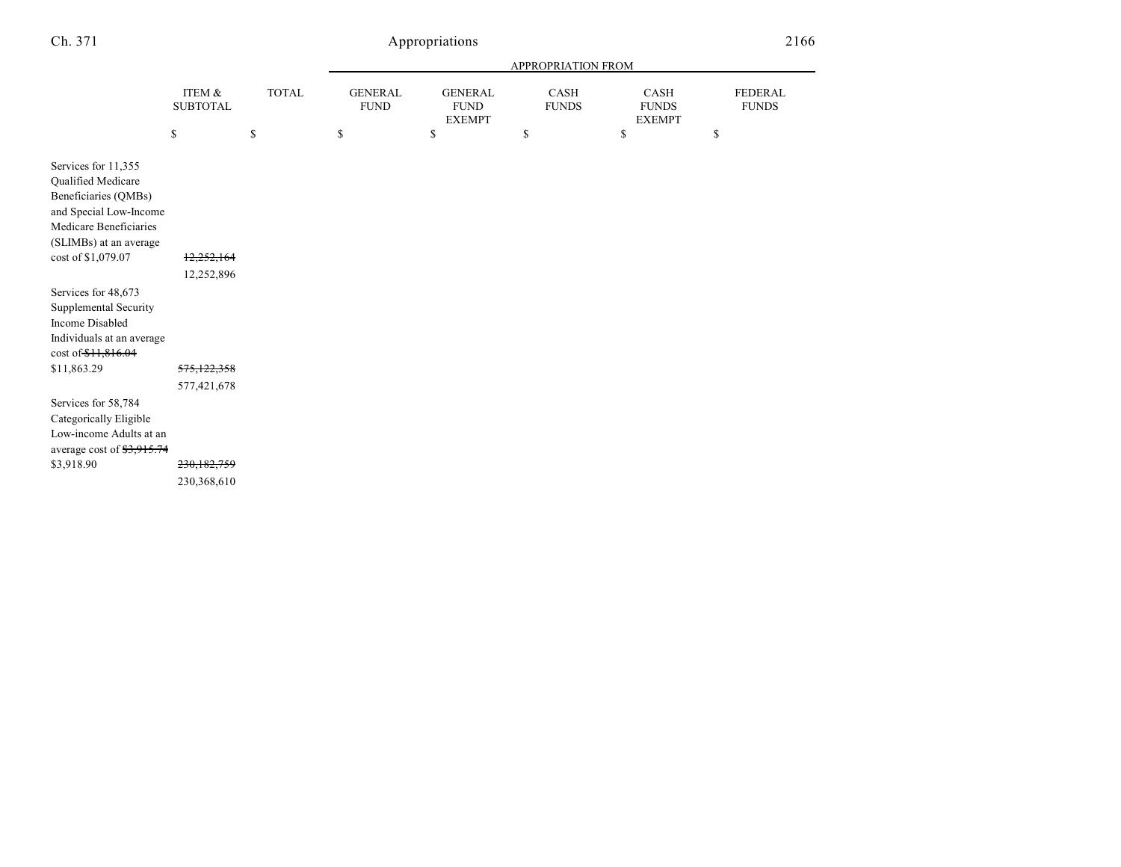## Appropriations 21

|--|--|

|                                                                                                                                                 |                                           |    | APPROPRIATION FROM |    |    |    |              |                               |                                                |                      |                                       |                                |
|-------------------------------------------------------------------------------------------------------------------------------------------------|-------------------------------------------|----|--------------------|----|----|----|--------------|-------------------------------|------------------------------------------------|----------------------|---------------------------------------|--------------------------------|
|                                                                                                                                                 | ITEM &<br><b>SUBTOTAL</b>                 |    |                    |    |    |    | <b>TOTAL</b> | <b>GENERAL</b><br><b>FUND</b> | <b>GENERAL</b><br><b>FUND</b><br><b>EXEMPT</b> | CASH<br><b>FUNDS</b> | CASH<br><b>FUNDS</b><br><b>EXEMPT</b> | <b>FEDERAL</b><br><b>FUNDS</b> |
|                                                                                                                                                 | \$                                        | \$ | \$                 | \$ | \$ | \$ | \$           |                               |                                                |                      |                                       |                                |
| Services for 11,355<br>Qualified Medicare<br>Beneficiaries (QMBs)<br>and Special Low-Income<br>Medicare Beneficiaries<br>(SLIMBs) at an average |                                           |    |                    |    |    |    |              |                               |                                                |                      |                                       |                                |
| cost of \$1,079.07                                                                                                                              | 12,252,164<br>12,252,896                  |    |                    |    |    |    |              |                               |                                                |                      |                                       |                                |
| Services for 48,673<br>Supplemental Security<br><b>Income Disabled</b><br>Individuals at an average<br>cost of \$11,816.04                      |                                           |    |                    |    |    |    |              |                               |                                                |                      |                                       |                                |
| \$11,863.29                                                                                                                                     | 575,122,358                               |    |                    |    |    |    |              |                               |                                                |                      |                                       |                                |
| Services for 58,784<br>Categorically Eligible<br>Low-income Adults at an<br>average cost of \$3,915.74<br>\$3,918.90                            | 577,421,678<br>230,182,759<br>230,368,610 |    |                    |    |    |    |              |                               |                                                |                      |                                       |                                |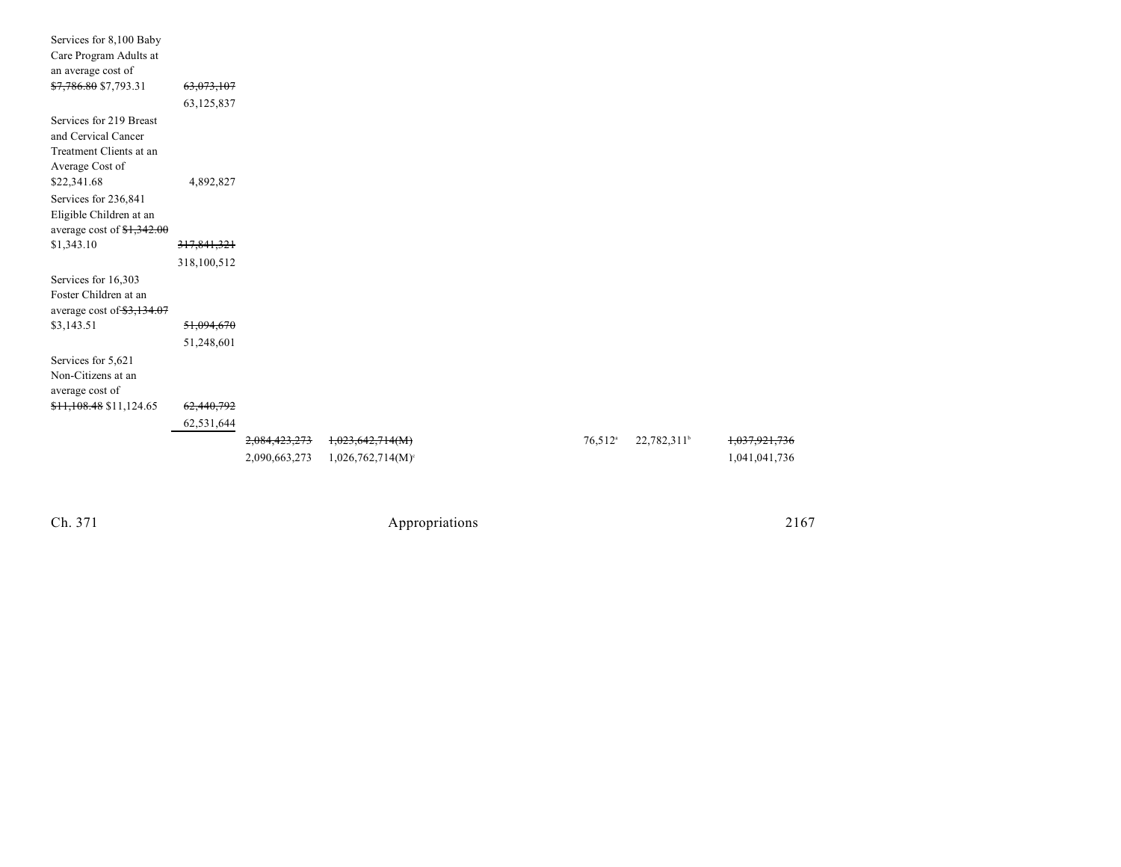| Services for 8,100 Baby    |             |               |                                 |                       |                         |               |
|----------------------------|-------------|---------------|---------------------------------|-----------------------|-------------------------|---------------|
| Care Program Adults at     |             |               |                                 |                       |                         |               |
| an average cost of         |             |               |                                 |                       |                         |               |
| \$7,786.80 \$7,793.31      | 63,073,107  |               |                                 |                       |                         |               |
|                            | 63,125,837  |               |                                 |                       |                         |               |
| Services for 219 Breast    |             |               |                                 |                       |                         |               |
| and Cervical Cancer        |             |               |                                 |                       |                         |               |
| Treatment Clients at an    |             |               |                                 |                       |                         |               |
| Average Cost of            |             |               |                                 |                       |                         |               |
| \$22,341.68                | 4,892,827   |               |                                 |                       |                         |               |
| Services for 236,841       |             |               |                                 |                       |                         |               |
| Eligible Children at an    |             |               |                                 |                       |                         |               |
| average cost of $1,342.00$ |             |               |                                 |                       |                         |               |
| \$1,343.10                 | 317,841,321 |               |                                 |                       |                         |               |
|                            | 318,100,512 |               |                                 |                       |                         |               |
| Services for 16,303        |             |               |                                 |                       |                         |               |
| Foster Children at an      |             |               |                                 |                       |                         |               |
| average cost of \$3,134.07 |             |               |                                 |                       |                         |               |
| \$3,143.51                 | 51,094,670  |               |                                 |                       |                         |               |
|                            | 51,248,601  |               |                                 |                       |                         |               |
| Services for 5,621         |             |               |                                 |                       |                         |               |
| Non-Citizens at an         |             |               |                                 |                       |                         |               |
| average cost of            |             |               |                                 |                       |                         |               |
| \$11,108.48 \$11,124.65    | 62,440,792  |               |                                 |                       |                         |               |
|                            | 62,531,644  |               |                                 |                       |                         |               |
|                            |             | 2,084,423,273 | 1,023,642,714(M)                | $76,512$ <sup>a</sup> | 22,782,311 <sup>b</sup> | 1,037,921,736 |
|                            |             | 2,090,663,273 | $1,026,762,714(M)$ <sup>c</sup> |                       |                         | 1,041,041,736 |
|                            |             |               |                                 |                       |                         |               |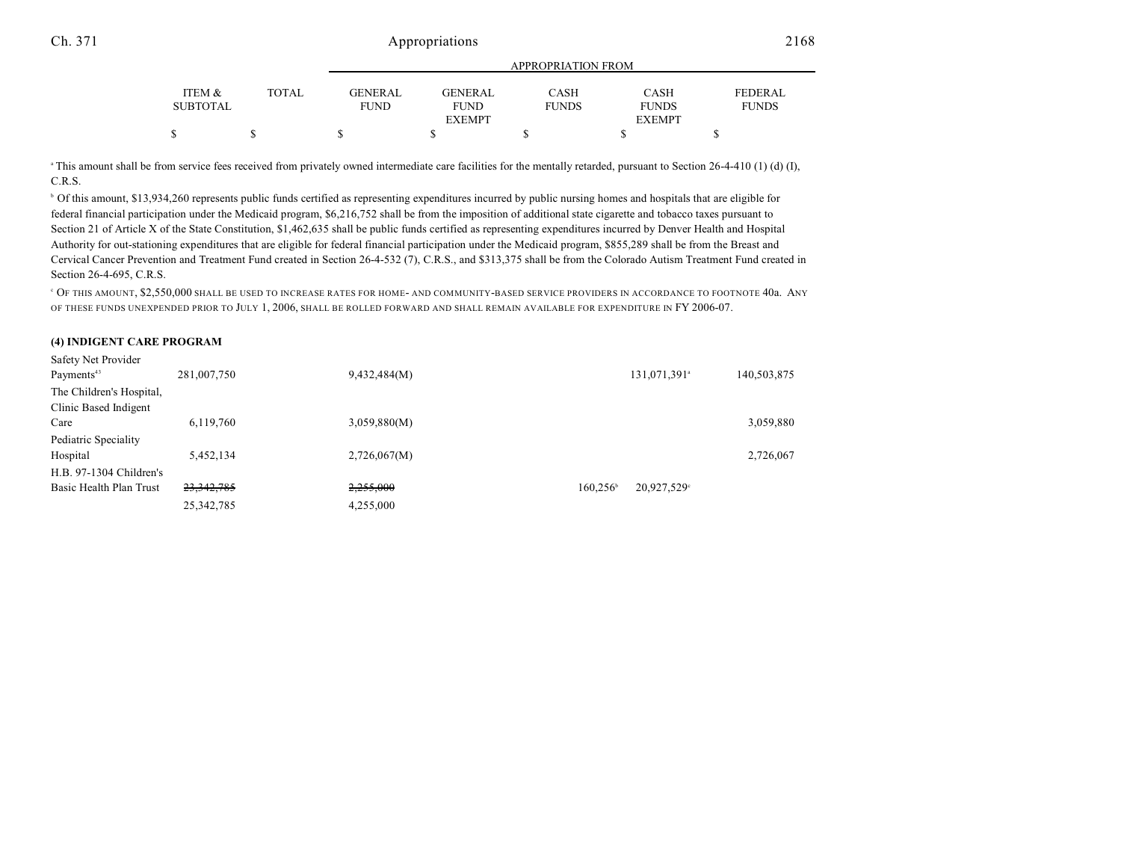### Ch. 371 Appropriations 2168

|                 |       | APPROPRIATION FROM |                |              |               |                |  |  |  |
|-----------------|-------|--------------------|----------------|--------------|---------------|----------------|--|--|--|
| ITEM &          | TOTAL | <b>GENERAL</b>     | <b>GENERAL</b> | <b>CASH</b>  | <b>CASH</b>   | <b>FEDERAL</b> |  |  |  |
| <b>SUBTOTAL</b> |       | <b>FUND</b>        | <b>FUND</b>    | <b>FUNDS</b> | <b>FUNDS</b>  | <b>FUNDS</b>   |  |  |  |
|                 |       |                    | <b>EXEMPT</b>  |              | <b>EXEMPT</b> |                |  |  |  |
|                 |       |                    |                |              |               |                |  |  |  |

 $\text{F}$  This amount shall be from service fees received from privately owned intermediate care facilities for the mentally retarded, pursuant to Section 26-4-410 (1) (d) (I), C.R.S.

 Of this amount, \$13,934,260 represents public funds certified as representing expenditures incurred by public nursing homes and hospitals that are eligible for <sup>b</sup> federal financial participation under the Medicaid program, \$6,216,752 shall be from the imposition of additional state cigarette and tobacco taxes pursuant to Section 21 of Article X of the State Constitution, \$1,462,635 shall be public funds certified as representing expenditures incurred by Denver Health and Hospital Authority for out-stationing expenditures that are eligible for federal financial participation under the Medicaid program, \$855,289 shall be from the Breast and Cervical Cancer Prevention and Treatment Fund created in Section 26-4-532 (7), C.R.S., and \$313,375 shall be from the Colorado Autism Treatment Fund created in Section 26-4-695, C.R.S.

 OF THIS AMOUNT, \$2,550,000 SHALL BE USED TO INCREASE RATES FOR HOME- AND COMMUNITY-BASED SERVICE PROVIDERS IN ACCORDANCE TO FOOTNOTE 40a. ANY <sup>c</sup> OF THESE FUNDS UNEXPENDED PRIOR TO JULY 1, 2006, SHALL BE ROLLED FORWARD AND SHALL REMAIN AVAILABLE FOR EXPENDITURE IN FY 2006-07.

#### **(4) INDIGENT CARE PROGRAM**

| Safety Net Provider      |              |              |                                         |
|--------------------------|--------------|--------------|-----------------------------------------|
| Payments <sup>43</sup>   | 281,007,750  | 9,432,484(M) | 131,071,391 <sup>a</sup><br>140,503,875 |
| The Children's Hospital, |              |              |                                         |
| Clinic Based Indigent    |              |              |                                         |
| Care                     | 6,119,760    | 3,059,880(M) | 3,059,880                               |
| Pediatric Speciality     |              |              |                                         |
| Hospital                 | 5,452,134    | 2,726,067(M) | 2,726,067                               |
| H.B. 97-1304 Children's  |              |              |                                         |
| Basic Health Plan Trust  | 23, 342, 785 | 2,255,000    | $160.256^{\circ}$<br>20,927,529°        |
|                          | 25, 342, 785 | 4,255,000    |                                         |
|                          |              |              |                                         |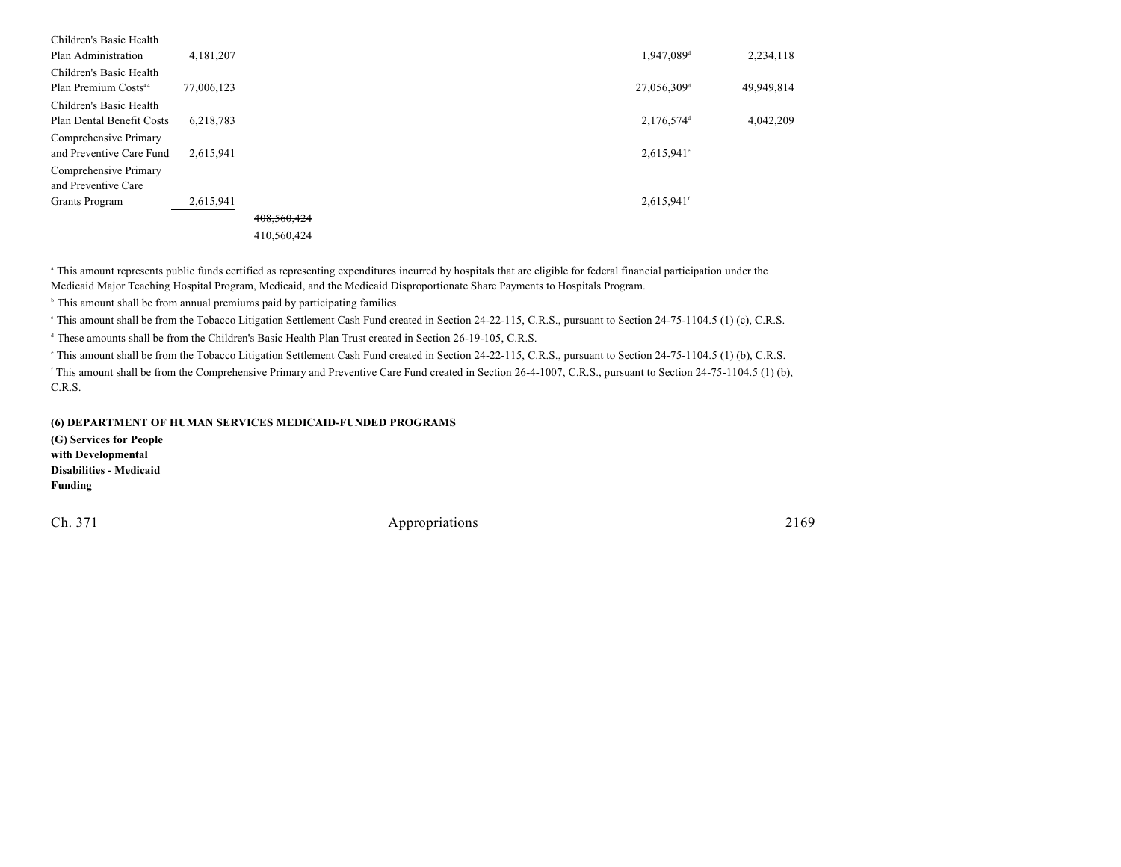| 4,181,207  |             |  |  | 1,947,089 <sup>d</sup>   | 2,234,118               |
|------------|-------------|--|--|--------------------------|-------------------------|
|            |             |  |  |                          |                         |
| 77,006,123 |             |  |  |                          | 49,949,814              |
|            |             |  |  |                          |                         |
| 6,218,783  |             |  |  | $2,176,574$ <sup>d</sup> | 4,042,209               |
|            |             |  |  |                          |                         |
| 2,615,941  |             |  |  | $2,615,941$ °            |                         |
|            |             |  |  |                          |                         |
|            |             |  |  |                          |                         |
| 2,615,941  |             |  |  | $2,615,941$ <sup>f</sup> |                         |
|            | 408,560,424 |  |  |                          |                         |
|            | 410,560,424 |  |  |                          |                         |
|            |             |  |  |                          | 27,056,309 <sup>d</sup> |

<sup>a</sup> This amount represents public funds certified as representing expenditures incurred by hospitals that are eligible for federal financial participation under the Medicaid Major Teaching Hospital Program, Medicaid, and the Medicaid Disproportionate Share Payments to Hospitals Program.

<sup>b</sup> This amount shall be from annual premiums paid by participating families.

<sup>e</sup> This amount shall be from the Tobacco Litigation Settlement Cash Fund created in Section 24-22-115, C.R.S., pursuant to Section 24-75-1104.5 (1) (c), C.R.S.

<sup>d</sup> These amounts shall be from the Children's Basic Health Plan Trust created in Section 26-19-105, C.R.S.

<sup>e</sup> This amount shall be from the Tobacco Litigation Settlement Cash Fund created in Section 24-22-115, C.R.S., pursuant to Section 24-75-1104.5 (1) (b), C.R.S.

<sup>r</sup> This amount shall be from the Comprehensive Primary and Preventive Care Fund created in Section 26-4-1007, C.R.S., pursuant to Section 24-75-1104.5 (1) (b), C.R.S.

#### **(6) DEPARTMENT OF HUMAN SERVICES MEDICAID-FUNDED PROGRAMS**

**(G) Services for People with Developmental Disabilities - Medicaid Funding**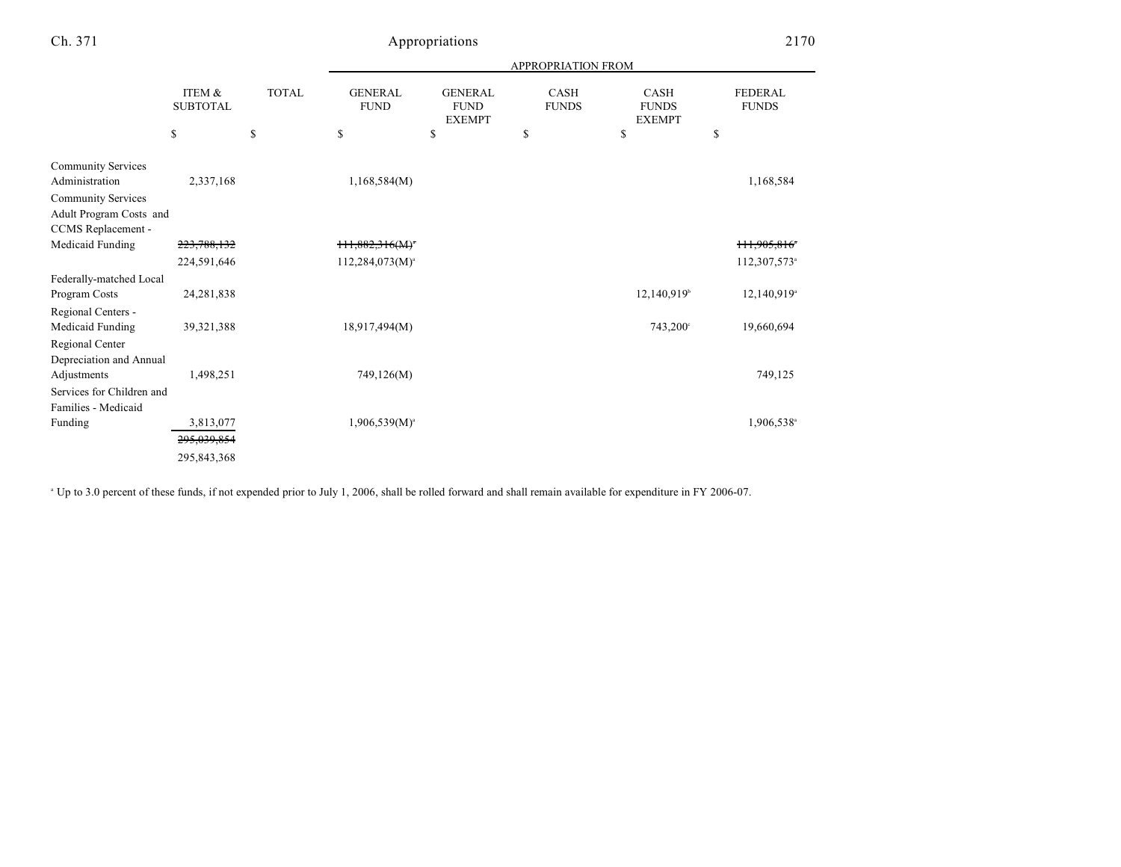### Appropriations 2170

|                                                  |                                 |                    | APPROPRIATION FROM                  |                                                      |                                   |                                                    |                                      |  |  |
|--------------------------------------------------|---------------------------------|--------------------|-------------------------------------|------------------------------------------------------|-----------------------------------|----------------------------------------------------|--------------------------------------|--|--|
|                                                  | ITEM &<br><b>SUBTOTAL</b><br>\$ | <b>TOTAL</b><br>\$ | <b>GENERAL</b><br><b>FUND</b><br>\$ | <b>GENERAL</b><br><b>FUND</b><br><b>EXEMPT</b><br>\$ | <b>CASH</b><br><b>FUNDS</b><br>\$ | <b>CASH</b><br><b>FUNDS</b><br><b>EXEMPT</b><br>\$ | <b>FEDERAL</b><br><b>FUNDS</b><br>\$ |  |  |
|                                                  |                                 |                    |                                     |                                                      |                                   |                                                    |                                      |  |  |
| <b>Community Services</b><br>Administration      | 2,337,168                       |                    | 1,168,584(M)                        |                                                      |                                   |                                                    | 1,168,584                            |  |  |
| <b>Community Services</b>                        |                                 |                    |                                     |                                                      |                                   |                                                    |                                      |  |  |
| Adult Program Costs and                          |                                 |                    |                                     |                                                      |                                   |                                                    |                                      |  |  |
| CCMS Replacement -                               |                                 |                    |                                     |                                                      |                                   |                                                    |                                      |  |  |
| Medicaid Funding                                 | 223,788,132                     |                    | $111,882,316(M)^*$                  |                                                      |                                   |                                                    | 111,905,816 <sup>*</sup>             |  |  |
|                                                  | 224,591,646                     |                    | $112,284,073(M)^{a}$                |                                                      |                                   |                                                    | 112,307,573 <sup>a</sup>             |  |  |
| Federally-matched Local                          |                                 |                    |                                     |                                                      |                                   |                                                    |                                      |  |  |
| Program Costs                                    | 24,281,838                      |                    |                                     |                                                      |                                   | $12,140,919$ <sup>b</sup>                          | $12,140,919$ <sup>a</sup>            |  |  |
| Regional Centers -                               |                                 |                    |                                     |                                                      |                                   |                                                    |                                      |  |  |
| Medicaid Funding                                 | 39,321,388                      |                    | 18,917,494(M)                       |                                                      |                                   | $743,200^{\circ}$                                  | 19,660,694                           |  |  |
| Regional Center<br>Depreciation and Annual       |                                 |                    |                                     |                                                      |                                   |                                                    |                                      |  |  |
| Adjustments                                      | 1,498,251                       |                    | 749,126(M)                          |                                                      |                                   |                                                    | 749,125                              |  |  |
| Services for Children and<br>Families - Medicaid |                                 |                    |                                     |                                                      |                                   |                                                    |                                      |  |  |
| Funding                                          | 3,813,077                       |                    | $1,906,539(M)^{a}$                  |                                                      |                                   |                                                    | 1,906,538 <sup>a</sup>               |  |  |
|                                                  | 295,039,854                     |                    |                                     |                                                      |                                   |                                                    |                                      |  |  |
|                                                  | 295,843,368                     |                    |                                     |                                                      |                                   |                                                    |                                      |  |  |

<sup>a</sup> Up to 3.0 percent of these funds, if not expended prior to July 1, 2006, shall be rolled forward and shall remain available for expenditure in FY 2006-07.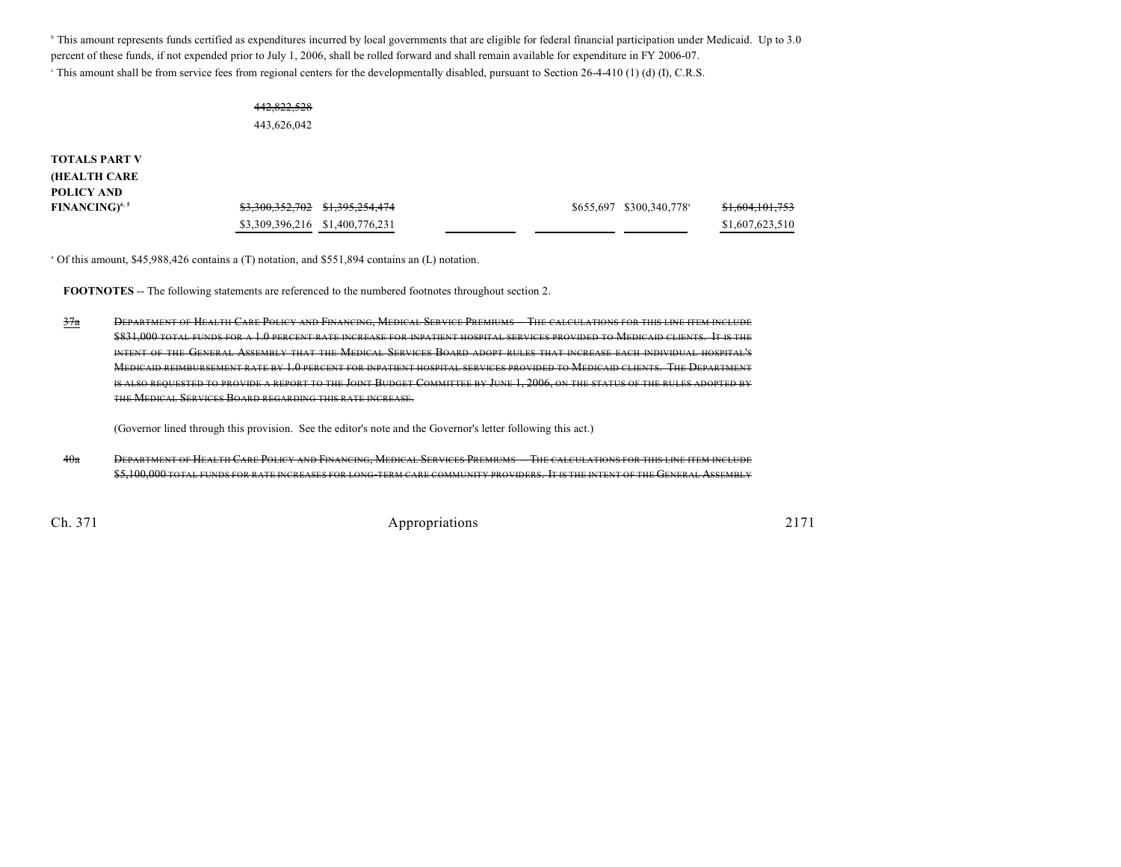<sup>b</sup> This amount represents funds certified as expenditures incurred by local governments that are eligible for federal financial participation under Medicaid. Up to 3.0 percent of these funds, if not expended prior to July 1, 2006, shall be rolled forward and shall remain available for expenditure in FY 2006-07. <sup>e</sup> This amount shall be from service fees from regional centers for the developmentally disabled, pursuant to Section 26-4-410 (1) (d) (I), C.R.S.

#### 442,822,528 443,626,042

**TOTALS PART V (HEALTH CARE POLICY AND**

| .                                 |                                                        |                         |                 |
|-----------------------------------|--------------------------------------------------------|-------------------------|-----------------|
| <b>FINANCING)</b> <sup>4, 5</sup> | <del>\$3,300,352,702</del> \$ <del>1,395,254,474</del> | \$655,697 \$300,340,778 | \$1,604,101,753 |
|                                   | \$3,309,396,216 \$1,400,776,231                        |                         | \$1,607,623,510 |

 $\degree$  Of this amount, \$45,988,426 contains a (T) notation, and \$551,894 contains an (L) notation.

**FOOTNOTES** -- The following statements are referenced to the numbered footnotes throughout section 2.

 $\frac{37a}{10}$  DEPARTMENT OF HEALTH CARE POLICY AND FINANCING, MEDICAL SERVICE PREMIUMS THE CALCULATIONS FOR THIS LINE ITEM INCLUDE \$831,000 TOTAL FUNDS FOR A 1.0 PERCENT RATE INCREASE FOR INPATIENT HOSPITAL SERVICES PROVIDED TO MEDICAID CLIENTS. IT IS THE INTENT OF THE GENERAL ASSEMBLY THAT THE MEDICAL SERVICES BOARD ADOPT RULES THAT INCREASE EACH INDIVIDUAL HOSPITAL'S MEDICAID REIMBURSEMENT RATE BY 1.0 PERCENT FOR INPATIENT HOSPITAL SERVICES PROVIDED TO MEDICAID CLIENTS. THE DEPARTMENT IS ALSO REQUESTED TO PROVIDE A REPORT TO THE JOINT BUDGET COMMITTEE BY JUNE 1, 2006, ON THE STATUS OF THE RULES ADOPTED BY THE MEDICAL SERVICES BOARD REGARDING THIS RATE INCREASE.

(Governor lined through this provision. See the editor's note and the Governor's letter following this act.)

40a DEPARTMENT OF HEALTH CARE POLICY AND FINANCING, MEDICAL SERVICES PREMIUMS THE CALCULATIONS FOR THIS LINE ITEM INCLUDE \$5,100,000 TOTAL FUNDS FOR RATE INCREASES FOR LONG-TERM CARE COMMUNITY PROVIDERS. IT IS THE INTENT OF THE GENERAL ASSEMBLY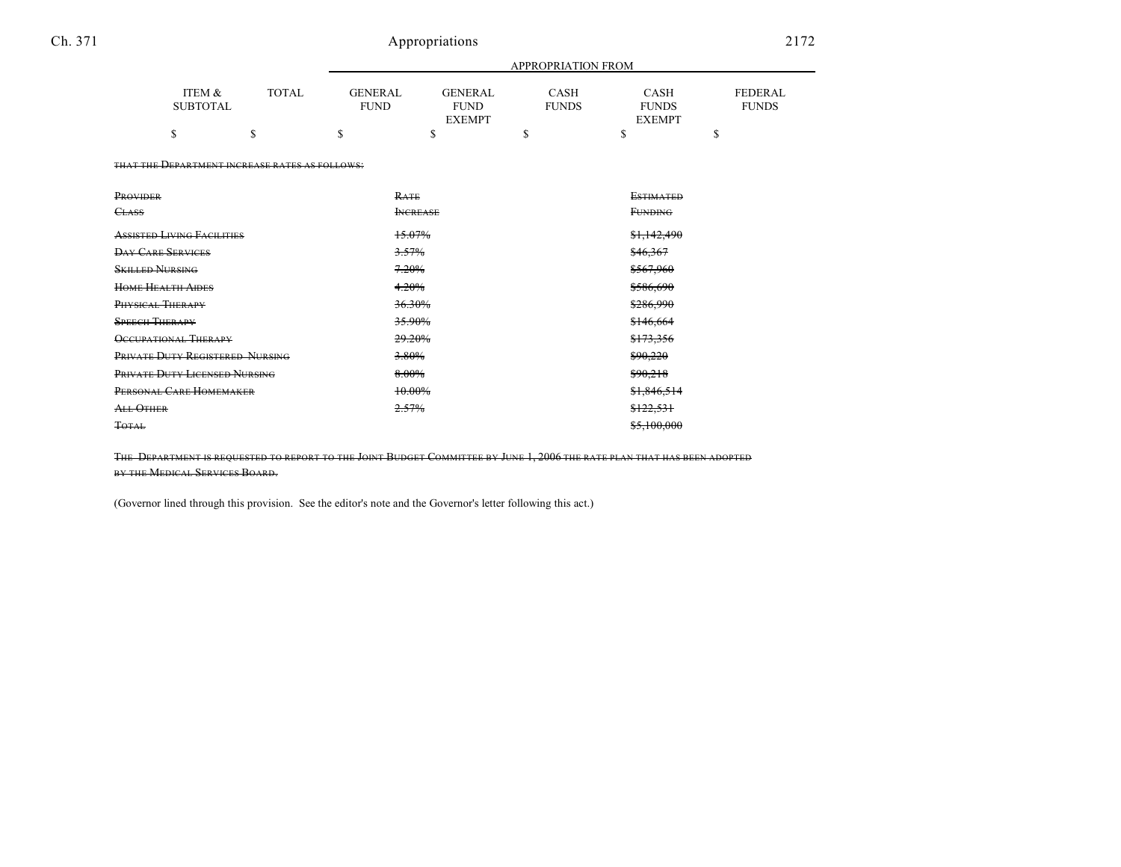### Ch. 371 Appropriations 2172

|                                      |                                                | APPROPRIATION FROM            |                                                |                             |                                              |                         |  |
|--------------------------------------|------------------------------------------------|-------------------------------|------------------------------------------------|-----------------------------|----------------------------------------------|-------------------------|--|
| <b>ITEM &amp;</b><br><b>SUBTOTAL</b> | <b>TOTAL</b>                                   | <b>GENERAL</b><br><b>FUND</b> | <b>GENERAL</b><br><b>FUND</b><br><b>EXEMPT</b> | <b>CASH</b><br><b>FUNDS</b> | <b>CASH</b><br><b>FUNDS</b><br><b>EXEMPT</b> | FEDERAL<br><b>FUNDS</b> |  |
| \$                                   | S                                              | \$                            | S                                              | \$                          | <sup>\$</sup>                                | \$                      |  |
|                                      | THAT THE DEPARTMENT INCREASE RATES AS FOLLOWS: |                               |                                                |                             |                                              |                         |  |
| PROVIDER                             |                                                |                               | RATE                                           |                             | <b>ESTIMATED</b>                             |                         |  |
| <b>CLASS</b>                         |                                                |                               | <b>INCREASE</b>                                |                             | <b>FUNDING</b>                               |                         |  |
| <b>ASSISTED LIVING FACILITIES</b>    |                                                |                               | 15.07%                                         |                             | \$1,142,490                                  |                         |  |
| <b>DAY CARE SERVICES</b>             |                                                |                               | 3.57%                                          |                             | \$46,367                                     |                         |  |
| <b>SKILLED NURSING</b>               |                                                | 7.20%                         |                                                | \$567,960                   |                                              |                         |  |
| <b>HOME HEALTH AIDES</b>             |                                                |                               | 4.20%                                          |                             | \$586,690                                    |                         |  |
| PHYSICAL THERAPY                     |                                                |                               | 36.30%                                         |                             | \$286,990                                    |                         |  |
| <b>SPEECH THERAPY</b>                |                                                | 35.90%                        |                                                | \$146,664                   |                                              |                         |  |
| <b>OCCUPATIONAL THERAPY</b>          |                                                |                               | 29.20%                                         |                             | \$173,356                                    |                         |  |
| PRIVATE DUTY REGISTERED NURSING      |                                                |                               | 3.80%                                          |                             | \$90,220                                     |                         |  |
| PRIVATE DUTY LICENSED NURSING        |                                                |                               | 8.00%                                          |                             | \$90,218                                     |                         |  |
| PERSONAL CARE HOMEMAKER              |                                                |                               | 10.00%                                         |                             | \$1.846.514                                  |                         |  |
| ALL OTHER                            |                                                |                               | 2.57%                                          |                             | \$122,531                                    |                         |  |
| <b>TOTAL</b>                         |                                                |                               |                                                |                             | \$5,100,000                                  |                         |  |

THE DEPARTMENT IS REQUESTED TO REPORT TO THE JOINT BUDGET COMMITTEE BY JUNE 1, 2006 THE RATE PLAN THAT HAS BEEN ADOPTED BY THE MEDICAL SERVICES BOARD.

(Governor lined through this provision. See the editor's note and the Governor's letter following this act.)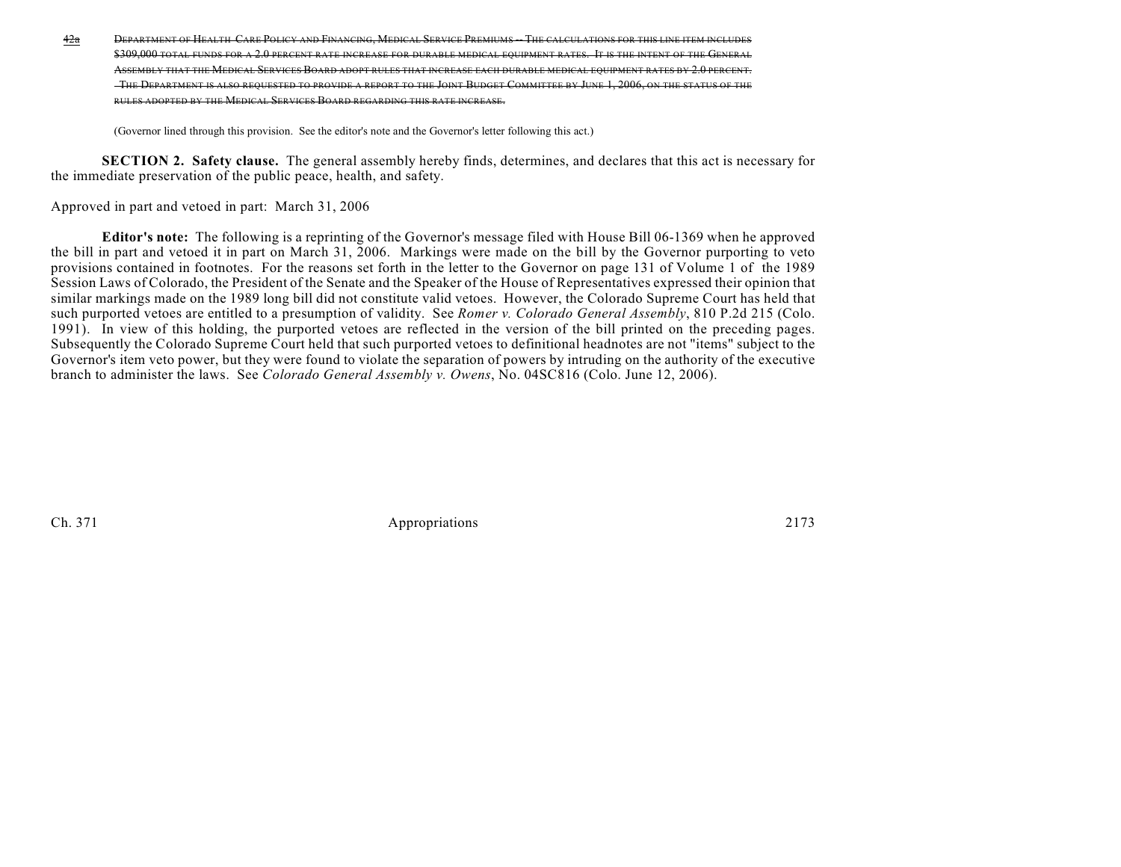42a DEPARTMENT OF HEALTH CARE POLICY AND FINANCING, MEDICAL SERVICE PREMIUMS THE CALCULATIONS FOR THIS LINE ITEM INCLUDES \$309,000 TOTAL FUNDS FOR A 2.0 PERCENT RATE INCREASE FOR DURABLE MEDICAL EQUIPMENT RATES. IT IS THE INTENT OF THE GEN ASSEMBLY THAT THE MEDICAL SERVICES BOARD ADOPT RULES THAT INCREASE EACH DURABLE MEDICAL EQUIPMENT RATES BY 2.0 PE THE DEPARTMENT IS ALSO REQUESTED TO PROVIDE A REPORT TO THE JOINT BUDGET COMMITTEE BY JUNE 1, 2006, ON THE STATUS OF THE RULES ADOPTED BY THE MEDICAL SERVICES BOARD REGARDING THIS RATE INCREASE.

(Governor lined through this provision. See the editor's note and the Governor's letter following this act.)

**SECTION 2. Safety clause.** The general assembly hereby finds, determines, and declares that this act is necessary for the immediate preservation of the public peace, health, and safety.

Approved in part and vetoed in part: March 31, 2006

**Editor's note:** The following is a reprinting of the Governor's message filed with House Bill 06-1369 when he approved the bill in part and vetoed it in part on March 31, 2006. Markings were made on the bill by the Governor purporting to veto provisions contained in footnotes. For the reasons set forth in the letter to the Governor on page 131 of Volume 1 of the 1989 Session Laws of Colorado, the President of the Senate and the Speaker of the House of Representatives expressed their opinion that similar markings made on the 1989 long bill did not constitute valid vetoes. However, the Colorado Supreme Court has held that such purported vetoes are entitled to a presumption of validity. See *Romer v. Colorado General Assembly*, 810 P.2d 215 (Colo. 1991). In view of this holding, the purported vetoes are reflected in the version of the bill printed on the preceding pages. Subsequently the Colorado Supreme Court held that such purported vetoes to definitional headnotes are not "items" subject to the Governor's item veto power, but they were found to violate the separation of powers by intruding on the authority of the executive branch to administer the laws. See *Colorado General Assembly v. Owens*, No. 04SC816 (Colo. June 12, 2006).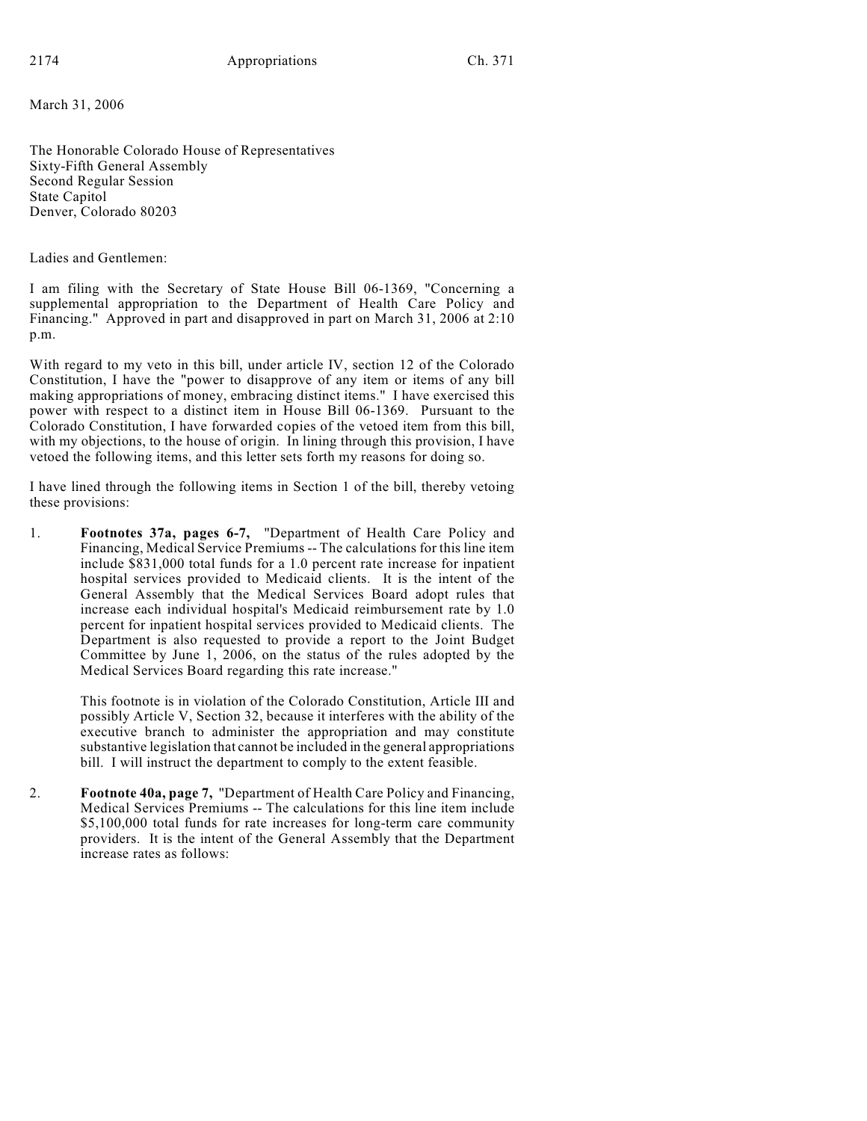March 31, 2006

The Honorable Colorado House of Representatives Sixty-Fifth General Assembly Second Regular Session State Capitol Denver, Colorado 80203

Ladies and Gentlemen:

I am filing with the Secretary of State House Bill 06-1369, "Concerning a supplemental appropriation to the Department of Health Care Policy and Financing." Approved in part and disapproved in part on March 31, 2006 at 2:10 p.m.

With regard to my veto in this bill, under article IV, section 12 of the Colorado Constitution, I have the "power to disapprove of any item or items of any bill making appropriations of money, embracing distinct items." I have exercised this power with respect to a distinct item in House Bill 06-1369. Pursuant to the Colorado Constitution, I have forwarded copies of the vetoed item from this bill, with my objections, to the house of origin. In lining through this provision, I have vetoed the following items, and this letter sets forth my reasons for doing so.

I have lined through the following items in Section 1 of the bill, thereby vetoing these provisions:

1. **Footnotes 37a, pages 6-7,** "Department of Health Care Policy and Financing, Medical Service Premiums -- The calculations for this line item include \$831,000 total funds for a 1.0 percent rate increase for inpatient hospital services provided to Medicaid clients. It is the intent of the General Assembly that the Medical Services Board adopt rules that increase each individual hospital's Medicaid reimbursement rate by 1.0 percent for inpatient hospital services provided to Medicaid clients. The Department is also requested to provide a report to the Joint Budget Committee by June 1, 2006, on the status of the rules adopted by the Medical Services Board regarding this rate increase."

> This footnote is in violation of the Colorado Constitution, Article III and possibly Article V, Section 32, because it interferes with the ability of the executive branch to administer the appropriation and may constitute substantive legislation that cannot be included in the general appropriations bill. I will instruct the department to comply to the extent feasible.

2. **Footnote 40a, page 7,** "Department of Health Care Policy and Financing, Medical Services Premiums -- The calculations for this line item include \$5,100,000 total funds for rate increases for long-term care community providers. It is the intent of the General Assembly that the Department increase rates as follows: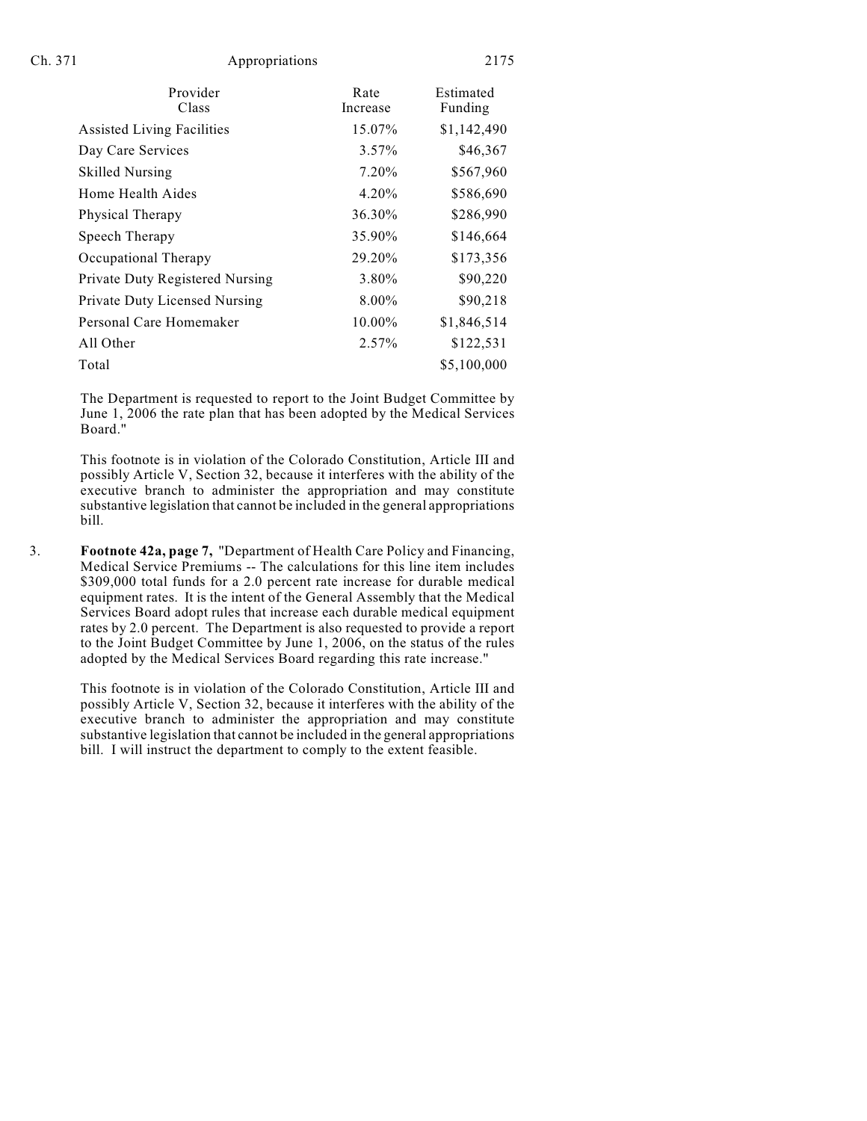| Provider<br>Class                      | Rate<br>Increase | Estimated<br>Funding |
|----------------------------------------|------------------|----------------------|
| <b>Assisted Living Facilities</b>      | 15.07%           | \$1,142,490          |
| Day Care Services                      | $3.57\%$         | \$46,367             |
| <b>Skilled Nursing</b>                 | 7.20%            | \$567,960            |
| Home Health Aides                      | $4.20\%$         | \$586,690            |
| Physical Therapy                       | 36.30%           | \$286,990            |
| Speech Therapy                         | 35.90%           | \$146,664            |
| Occupational Therapy                   | 29.20%           | \$173,356            |
| <b>Private Duty Registered Nursing</b> | 3.80%            | \$90,220             |
| Private Duty Licensed Nursing          | 8.00%            | \$90,218             |
| Personal Care Homemaker                | 10.00%           | \$1,846,514          |
| All Other                              | $2.57\%$         | \$122,531            |
| Total                                  |                  | \$5,100,000          |
|                                        |                  |                      |

The Department is requested to report to the Joint Budget Committee by June 1, 2006 the rate plan that has been adopted by the Medical Services Board."

This footnote is in violation of the Colorado Constitution, Article III and possibly Article V, Section 32, because it interferes with the ability of the executive branch to administer the appropriation and may constitute substantive legislation that cannot be included in the general appropriations bill.

3. **Footnote 42a, page 7,** "Department of Health Care Policy and Financing, Medical Service Premiums -- The calculations for this line item includes \$309,000 total funds for a 2.0 percent rate increase for durable medical equipment rates. It is the intent of the General Assembly that the Medical Services Board adopt rules that increase each durable medical equipment rates by 2.0 percent. The Department is also requested to provide a report to the Joint Budget Committee by June 1, 2006, on the status of the rules adopted by the Medical Services Board regarding this rate increase."

> This footnote is in violation of the Colorado Constitution, Article III and possibly Article V, Section 32, because it interferes with the ability of the executive branch to administer the appropriation and may constitute substantive legislation that cannot be included in the general appropriations bill. I will instruct the department to comply to the extent feasible.